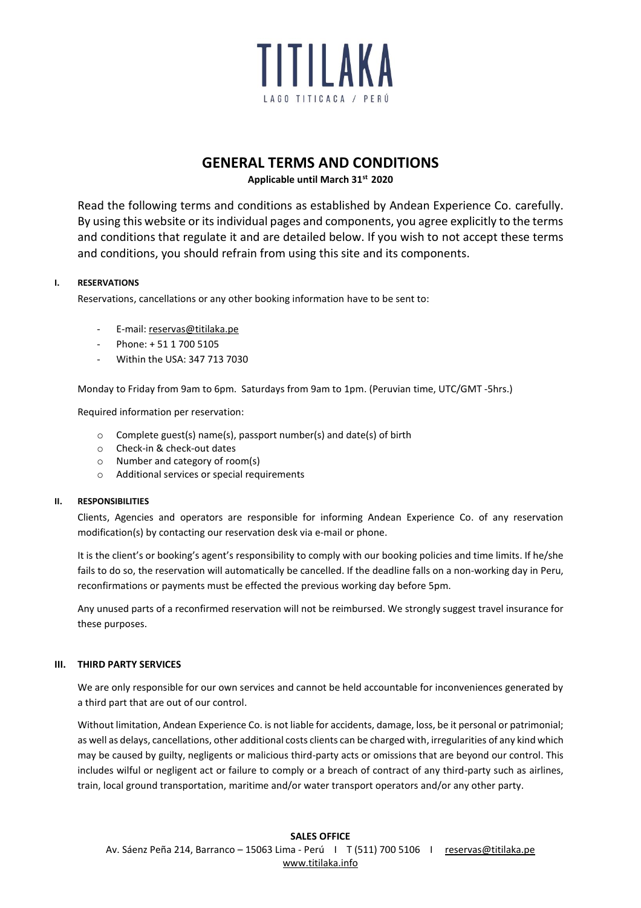

# **GENERAL TERMS AND CONDITIONS**

**Applicable until March 31st 2020**

Read the following terms and conditions as established by Andean Experience Co. carefully. By using this website or its individual pages and components, you agree explicitly to the terms and conditions that regulate it and are detailed below. If you wish to not accept these terms and conditions, you should refrain from using this site and its components.

# **I. RESERVATIONS**

Reservations, cancellations or any other booking information have to be sent to:

- E-mail: [reservas@titilaka.pe](mailto:reservas@titilaka.com)
- Phone: + 51 1 700 5105
- Within the USA: 347 713 7030

Monday to Friday from 9am to 6pm. Saturdays from 9am to 1pm. (Peruvian time, UTC/GMT -5hrs.)

Required information per reservation:

- o Complete guest(s) name(s), passport number(s) and date(s) of birth
- o Check-in & check-out dates
- o Number and category of room(s)
- o Additional services or special requirements

## **II. RESPONSIBILITIES**

Clients, Agencies and operators are responsible for informing Andean Experience Co. of any reservation modification(s) by contacting our reservation desk via e-mail or phone.

It is the client's or booking's agent's responsibility to comply with our booking policies and time limits. If he/she fails to do so, the reservation will automatically be cancelled. If the deadline falls on a non-working day in Peru, reconfirmations or payments must be effected the previous working day before 5pm.

Any unused parts of a reconfirmed reservation will not be reimbursed. We strongly suggest travel insurance for these purposes.

## **III. THIRD PARTY SERVICES**

We are only responsible for our own services and cannot be held accountable for inconveniences generated by a third part that are out of our control.

Without limitation, Andean Experience Co. is not liable for accidents, damage, loss, be it personal or patrimonial; as well as delays, cancellations, other additional costs clients can be charged with, irregularities of any kind which may be caused by guilty, negligents or malicious third-party acts or omissions that are beyond our control. This includes wilful or negligent act or failure to comply or a breach of contract of any third-party such as airlines, train, local ground transportation, maritime and/or water transport operators and/or any other party.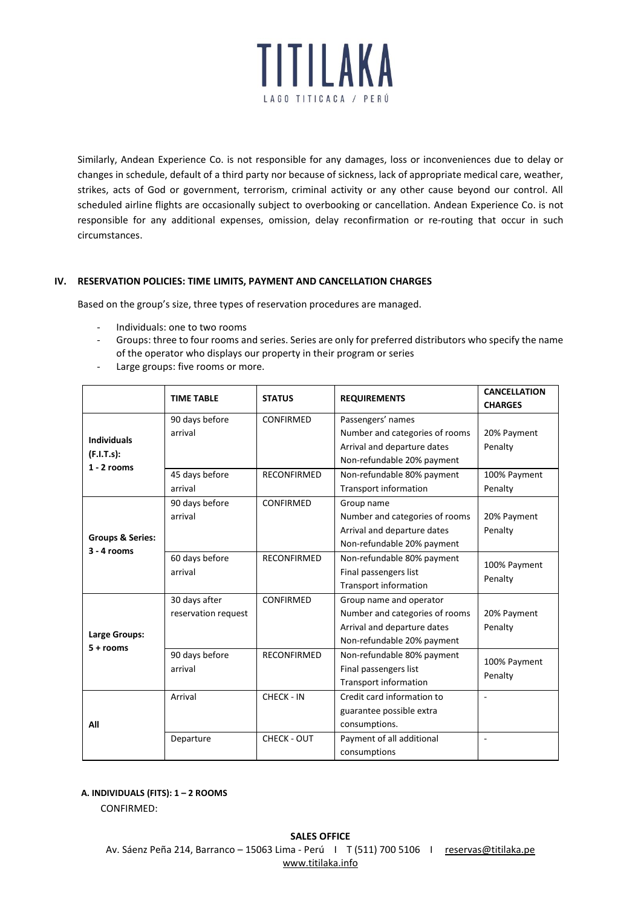

Similarly, Andean Experience Co. is not responsible for any damages, loss or inconveniences due to delay or changes in schedule, default of a third party nor because of sickness, lack of appropriate medical care, weather, strikes, acts of God or government, terrorism, criminal activity or any other cause beyond our control. All scheduled airline flights are occasionally subject to overbooking or cancellation. Andean Experience Co. is not responsible for any additional expenses, omission, delay reconfirmation or re-routing that occur in such circumstances.

# **IV. RESERVATION POLICIES: TIME LIMITS, PAYMENT AND CANCELLATION CHARGES**

Based on the group's size, three types of reservation procedures are managed.

- Individuals: one to two rooms
- Groups: three to four rooms and series. Series are only for preferred distributors who specify the name of the operator who displays our property in their program or series
- Large groups: five rooms or more.

|                                                   | <b>TIME TABLE</b>   | <b>STATUS</b>      | <b>REQUIREMENTS</b>            | <b>CANCELLATION</b>      |
|---------------------------------------------------|---------------------|--------------------|--------------------------------|--------------------------|
|                                                   |                     |                    |                                | <b>CHARGES</b>           |
| <b>Individuals</b><br>(F.I.T.s):<br>$1 - 2$ rooms | 90 days before      | CONFIRMED          | Passengers' names              |                          |
|                                                   | arrival             |                    | Number and categories of rooms | 20% Payment              |
|                                                   |                     |                    | Arrival and departure dates    | Penalty                  |
|                                                   |                     |                    | Non-refundable 20% payment     |                          |
|                                                   | 45 days before      | <b>RECONFIRMED</b> | Non-refundable 80% payment     | 100% Payment             |
|                                                   | arrival             |                    | Transport information          | Penalty                  |
| <b>Groups &amp; Series:</b><br>$3 - 4$ rooms      | 90 days before      | CONFIRMED          | Group name                     |                          |
|                                                   | arrival             |                    | Number and categories of rooms | 20% Payment              |
|                                                   |                     |                    | Arrival and departure dates    | Penalty                  |
|                                                   |                     |                    | Non-refundable 20% payment     |                          |
|                                                   | 60 days before      | <b>RECONFIRMED</b> | Non-refundable 80% payment     | 100% Payment<br>Penalty  |
|                                                   | arrival             |                    | Final passengers list          |                          |
|                                                   |                     |                    | <b>Transport information</b>   |                          |
| Large Groups:<br>$5 + rooms$                      | 30 days after       | CONFIRMED          | Group name and operator        |                          |
|                                                   | reservation request |                    | Number and categories of rooms | 20% Payment              |
|                                                   |                     |                    | Arrival and departure dates    | Penalty                  |
|                                                   |                     |                    | Non-refundable 20% payment     |                          |
|                                                   | 90 days before      | <b>RECONFIRMED</b> | Non-refundable 80% payment     | 100% Payment<br>Penalty  |
|                                                   | arrival             |                    | Final passengers list          |                          |
|                                                   |                     |                    | Transport information          |                          |
| All                                               | Arrival             | CHECK - IN         | Credit card information to     | $\overline{\phantom{a}}$ |
|                                                   |                     |                    | guarantee possible extra       |                          |
|                                                   |                     |                    | consumptions.                  |                          |
|                                                   | Departure           | <b>CHECK - OUT</b> | Payment of all additional      | ä,                       |
|                                                   |                     |                    | consumptions                   |                          |

## **A. INDIVIDUALS (FITS): 1 – 2 ROOMS**

CONFIRMED: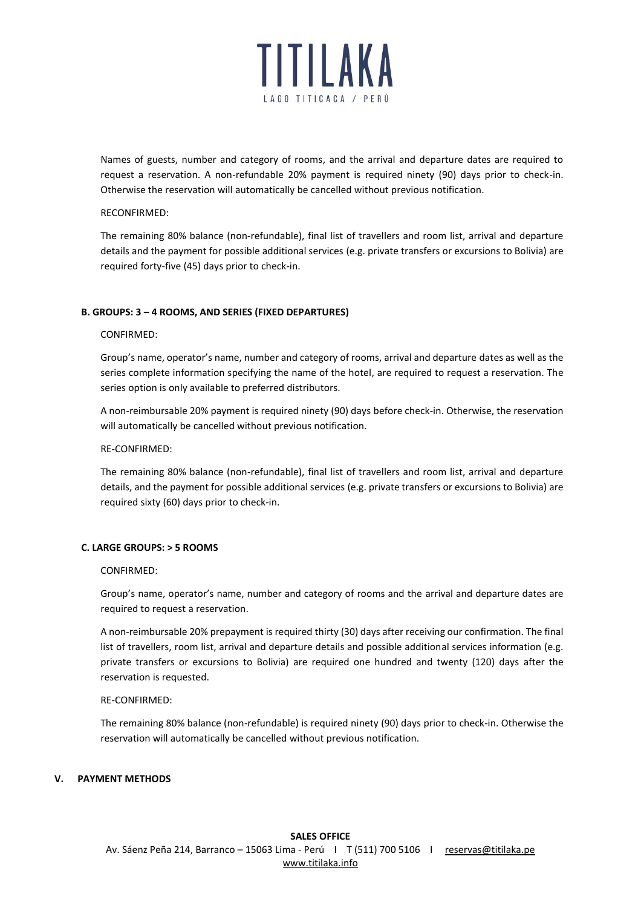

Names of guests, number and category of rooms, and the arrival and departure dates are required to request a reservation. A non-refundable 20% payment is required ninety (90) days prior to check-in. Otherwise the reservation will automatically be cancelled without previous notification.

#### RECONFIRMED:

The remaining 80% balance (non-refundable), final list of travellers and room list, arrival and departure details and the payment for possible additional services (e.g. private transfers or excursions to Bolivia) are required forty-five (45) days prior to check-in.

## **B. GROUPS: 3 – 4 ROOMS, AND SERIES (FIXED DEPARTURES)**

#### CONFIRMED:

Group's name, operator's name, number and category of rooms, arrival and departure dates as well as the series complete information specifying the name of the hotel, are required to request a reservation. The series option is only available to preferred distributors.

A non-reimbursable 20% payment is required ninety (90) days before check-in. Otherwise, the reservation will automatically be cancelled without previous notification.

#### RE-CONFIRMED:

The remaining 80% balance (non-refundable), final list of travellers and room list, arrival and departure details, and the payment for possible additional services (e.g. private transfers or excursions to Bolivia) are required sixty (60) days prior to check-in.

#### **C. LARGE GROUPS: > 5 ROOMS**

#### CONFIRMED:

Group's name, operator's name, number and category of rooms and the arrival and departure dates are required to request a reservation.

A non-reimbursable 20% prepayment is required thirty (30) days after receiving our confirmation. The final list of travellers, room list, arrival and departure details and possible additional services information (e.g. private transfers or excursions to Bolivia) are required one hundred and twenty (120) days after the reservation is requested.

#### RE-CONFIRMED:

The remaining 80% balance (non-refundable) is required ninety (90) days prior to check-in. Otherwise the reservation will automatically be cancelled without previous notification.

#### **V. PAYMENT METHODS**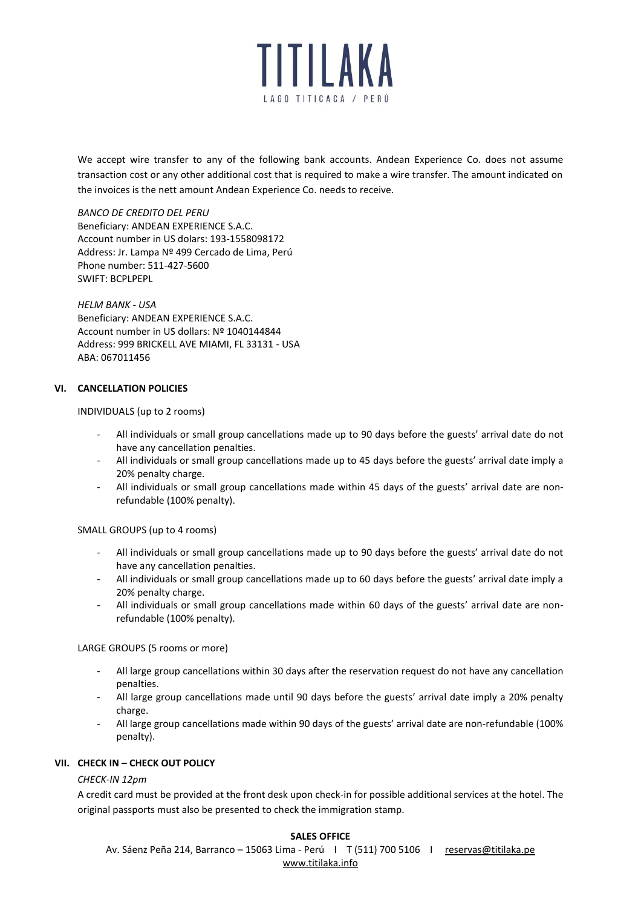

We accept wire transfer to any of the following bank accounts. Andean Experience Co. does not assume transaction cost or any other additional cost that is required to make a wire transfer. The amount indicated on the invoices is the nett amount Andean Experience Co. needs to receive.

*BANCO DE CREDITO DEL PERU* Beneficiary: ANDEAN EXPERIENCE S.A.C. Account number in US dolars: 193-1558098172 Address: Jr. Lampa Nº 499 Cercado de Lima, Perú Phone number: 511-427-5600 SWIFT: BCPLPEPL

*HELM BANK - USA* Beneficiary: ANDEAN EXPERIENCE S.A.C. Account number in US dollars: Nº 1040144844 Address: 999 BRICKELL AVE MIAMI, FL 33131 - USA ABA: 067011456

## **VI. CANCELLATION POLICIES**

INDIVIDUALS (up to 2 rooms)

- All individuals or small group cancellations made up to 90 days before the guests' arrival date do not have any cancellation penalties.
- All individuals or small group cancellations made up to 45 days before the guests' arrival date imply a 20% penalty charge.
- All individuals or small group cancellations made within 45 days of the guests' arrival date are nonrefundable (100% penalty).

SMALL GROUPS (up to 4 rooms)

- All individuals or small group cancellations made up to 90 days before the guests' arrival date do not have any cancellation penalties.
- All individuals or small group cancellations made up to 60 days before the guests' arrival date imply a 20% penalty charge.
- All individuals or small group cancellations made within 60 days of the guests' arrival date are nonrefundable (100% penalty).

LARGE GROUPS (5 rooms or more)

- All large group cancellations within 30 days after the reservation request do not have any cancellation penalties.
- All large group cancellations made until 90 days before the guests' arrival date imply a 20% penalty charge.
- All large group cancellations made within 90 days of the guests' arrival date are non-refundable (100% penalty).

# **VII. CHECK IN – CHECK OUT POLICY**

## *CHECK-IN 12pm*

A credit card must be provided at the front desk upon check-in for possible additional services at the hotel. The original passports must also be presented to check the immigration stamp.

## **SALES OFFICE**

Av. Sáenz Peña 214, Barranco - 15063 Lima - Perú | T (511) 700 5106 | reservas@titilaka.pe [www.titilaka.info](http://www.andean-experience.info/)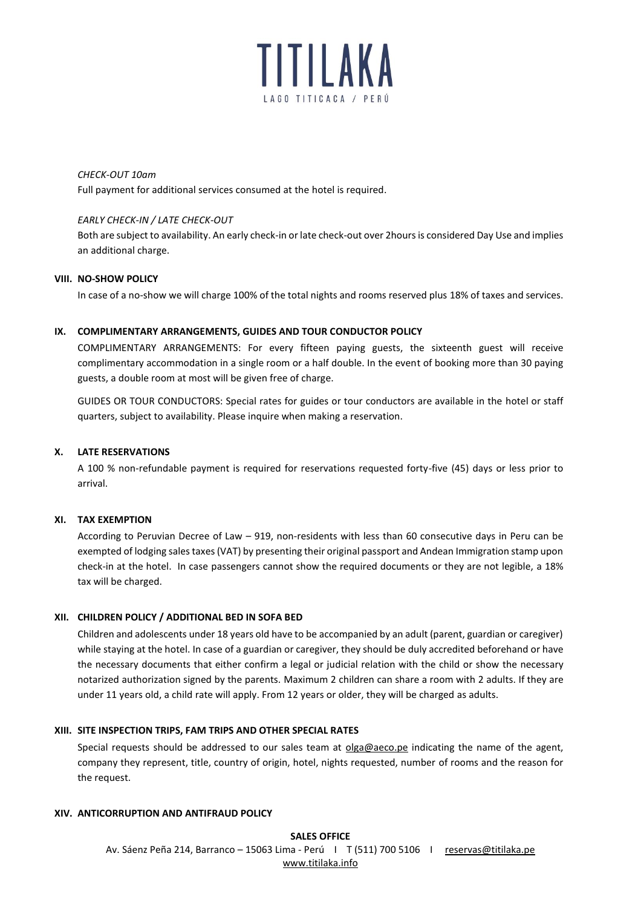

*CHECK-OUT 10am*

Full payment for additional services consumed at the hotel is required.

## *EARLY CHECK-IN / LATE CHECK-OUT*

Both are subject to availability. An early check-in or late check-out over 2hours is considered Day Use and implies an additional charge.

#### **VIII. NO-SHOW POLICY**

In case of a no-show we will charge 100% of the total nights and rooms reserved plus 18% of taxes and services.

#### **IX. COMPLIMENTARY ARRANGEMENTS, GUIDES AND TOUR CONDUCTOR POLICY**

COMPLIMENTARY ARRANGEMENTS: For every fifteen paying guests, the sixteenth guest will receive complimentary accommodation in a single room or a half double. In the event of booking more than 30 paying guests, a double room at most will be given free of charge.

GUIDES OR TOUR CONDUCTORS: Special rates for guides or tour conductors are available in the hotel or staff quarters, subject to availability. Please inquire when making a reservation.

#### **X. LATE RESERVATIONS**

A 100 % non-refundable payment is required for reservations requested forty-five (45) days or less prior to arrival.

## **XI. TAX EXEMPTION**

According to Peruvian Decree of Law – 919, non-residents with less than 60 consecutive days in Peru can be exempted of lodging sales taxes (VAT) by presenting their original passport and Andean Immigration stamp upon check-in at the hotel. In case passengers cannot show the required documents or they are not legible, a 18% tax will be charged.

#### **XII. CHILDREN POLICY / ADDITIONAL BED IN SOFA BED**

Children and adolescents under 18 years old have to be accompanied by an adult (parent, guardian or caregiver) while staying at the hotel. In case of a guardian or caregiver, they should be duly accredited beforehand or have the necessary documents that either confirm a legal or judicial relation with the child or show the necessary notarized authorization signed by the parents. Maximum 2 children can share a room with 2 adults. If they are under 11 years old, a child rate will apply. From 12 years or older, they will be charged as adults.

## **XIII. SITE INSPECTION TRIPS, FAM TRIPS AND OTHER SPECIAL RATES**

Special requests should be addressed to our sales team at [olga@aeco.pe](mailto:olga@aeco.pe) indicating the name of the agent, company they represent, title, country of origin, hotel, nights requested, number of rooms and the reason for the request.

#### **XIV. ANTICORRUPTION AND ANTIFRAUD POLICY**

**SALES OFFICE** Av. Sáenz Peña 214, Barranco - 15063 Lima - Perú | T (511) 700 5106 | reservas@titilaka.pe [www.titilaka.info](http://www.andean-experience.info/)